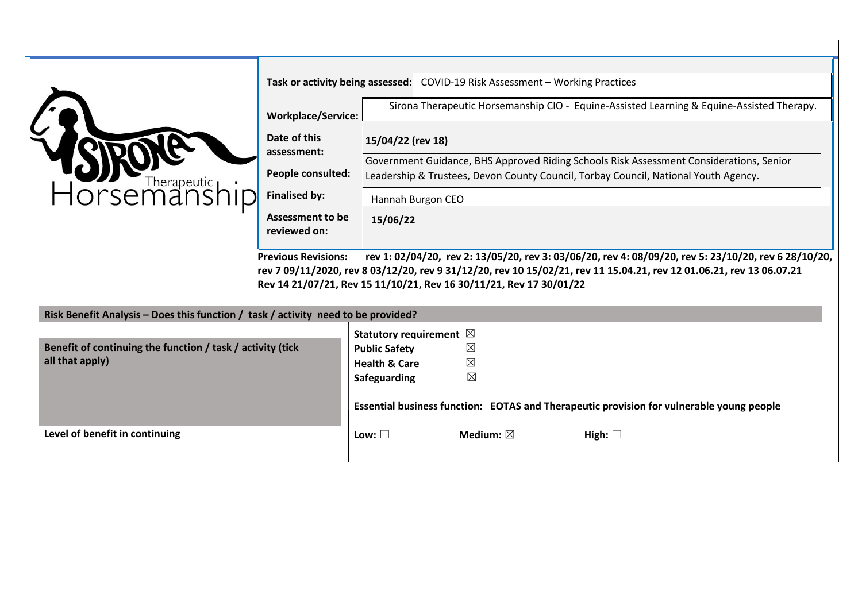| Horsemanship                                                                                                                                                                                         | <b>Workplace/Service:</b><br>Date of this<br>assessment:<br>People consulted:<br><b>Finalised by:</b><br><b>Assessment to be</b><br>reviewed on:<br><b>Previous Revisions:</b><br>Rev 14 21/07/21, Rev 15 11/10/21, Rev 16 30/11/21, Rev 17 30/01/22 | 15/04/22 (rev 18)<br>15/06/22                                                      | Hannah Burgon CEO                                                                           | Task or activity being assessed: COVID-19 Risk Assessment - Working Practices<br>Government Guidance, BHS Approved Riding Schools Risk Assessment Considerations, Senior<br>Leadership & Trustees, Devon County Council, Torbay Council, National Youth Agency. | Sirona Therapeutic Horsemanship CIO - Equine-Assisted Learning & Equine-Assisted Therapy.<br>rev 1: 02/04/20, rev 2: 13/05/20, rev 3: 03/06/20, rev 4: 08/09/20, rev 5: 23/10/20, rev 6 28/10/20,<br>rev 7 09/11/2020, rev 8 03/12/20, rev 9 31/12/20, rev 10 15/02/21, rev 11 15.04.21, rev 12 01.06.21, rev 13 06.07.21 |
|------------------------------------------------------------------------------------------------------------------------------------------------------------------------------------------------------|------------------------------------------------------------------------------------------------------------------------------------------------------------------------------------------------------------------------------------------------------|------------------------------------------------------------------------------------|---------------------------------------------------------------------------------------------|-----------------------------------------------------------------------------------------------------------------------------------------------------------------------------------------------------------------------------------------------------------------|---------------------------------------------------------------------------------------------------------------------------------------------------------------------------------------------------------------------------------------------------------------------------------------------------------------------------|
| Risk Benefit Analysis – Does this function / task / activity need to be provided?<br>Benefit of continuing the function / task / activity (tick<br>all that apply)<br>Level of benefit in continuing |                                                                                                                                                                                                                                                      | <b>Public Safety</b><br><b>Health &amp; Care</b><br>Safeguarding<br>Low: $\square$ | Statutory requirement $\boxtimes$<br>$\boxtimes$<br>⊠<br>$\boxtimes$<br>Medium: $\boxtimes$ | Essential business function: EOTAS and Therapeutic provision for vulnerable young people<br>High: $\square$                                                                                                                                                     |                                                                                                                                                                                                                                                                                                                           |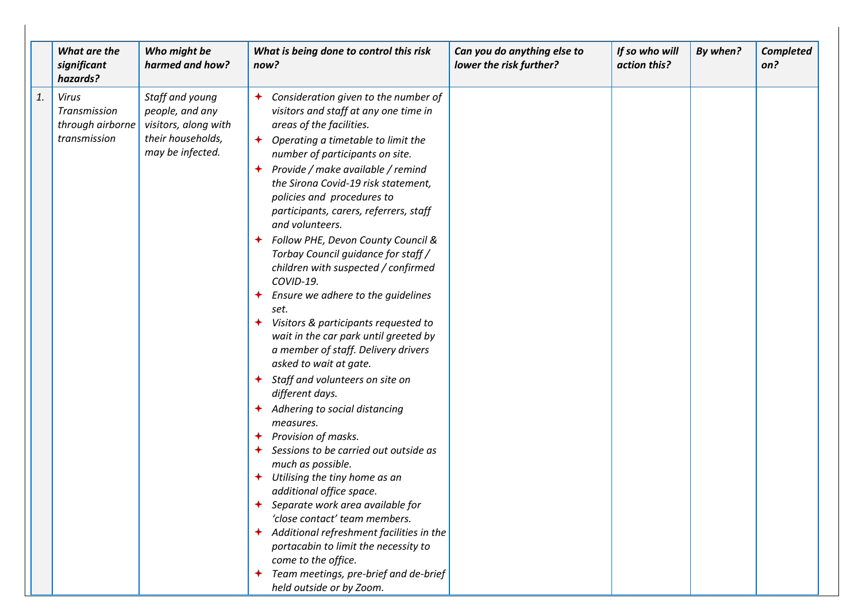|    | What are the<br>significant<br>hazards?                          | Who might be<br>harmed and how?                                                                     | What is being done to control this risk<br>now?                                                                                                                                                                                                                                                                                                                                                                                                                                                                                                                                                                                                                                                                                                                                                                                                                                                                                                                                                                                                                                                                                                                                                                                                                             | Can you do anything else to<br>lower the risk further? | If so who will<br>action this? | By when? | <b>Completed</b><br>on? |
|----|------------------------------------------------------------------|-----------------------------------------------------------------------------------------------------|-----------------------------------------------------------------------------------------------------------------------------------------------------------------------------------------------------------------------------------------------------------------------------------------------------------------------------------------------------------------------------------------------------------------------------------------------------------------------------------------------------------------------------------------------------------------------------------------------------------------------------------------------------------------------------------------------------------------------------------------------------------------------------------------------------------------------------------------------------------------------------------------------------------------------------------------------------------------------------------------------------------------------------------------------------------------------------------------------------------------------------------------------------------------------------------------------------------------------------------------------------------------------------|--------------------------------------------------------|--------------------------------|----------|-------------------------|
| 1. | <b>Virus</b><br>Transmission<br>through airborne<br>transmission | Staff and young<br>people, and any<br>visitors, along with<br>their households,<br>may be infected. | Consideration given to the number of<br>✦<br>visitors and staff at any one time in<br>areas of the facilities.<br>$\bigstar$<br>Operating a timetable to limit the<br>number of participants on site.<br>Provide / make available / remind<br>✦<br>the Sirona Covid-19 risk statement,<br>policies and procedures to<br>participants, carers, referrers, staff<br>and volunteers.<br>Follow PHE, Devon County Council &<br>Torbay Council guidance for staff /<br>children with suspected / confirmed<br>COVID-19.<br>Ensure we adhere to the guidelines<br>✦<br>set.<br>Visitors & participants requested to<br>✦<br>wait in the car park until greeted by<br>a member of staff. Delivery drivers<br>asked to wait at gate.<br>Staff and volunteers on site on<br>$\bigstar$<br>different days.<br>Adhering to social distancing<br>✦<br>measures.<br>Provision of masks.<br>✦<br>Sessions to be carried out outside as<br>✦<br>much as possible.<br>Utilising the tiny home as an<br>✦<br>additional office space.<br>Separate work area available for<br>'close contact' team members.<br>← Additional refreshment facilities in the<br>portacabin to limit the necessity to<br>come to the office.<br>Team meetings, pre-brief and de-brief<br>held outside or by Zoom. |                                                        |                                |          |                         |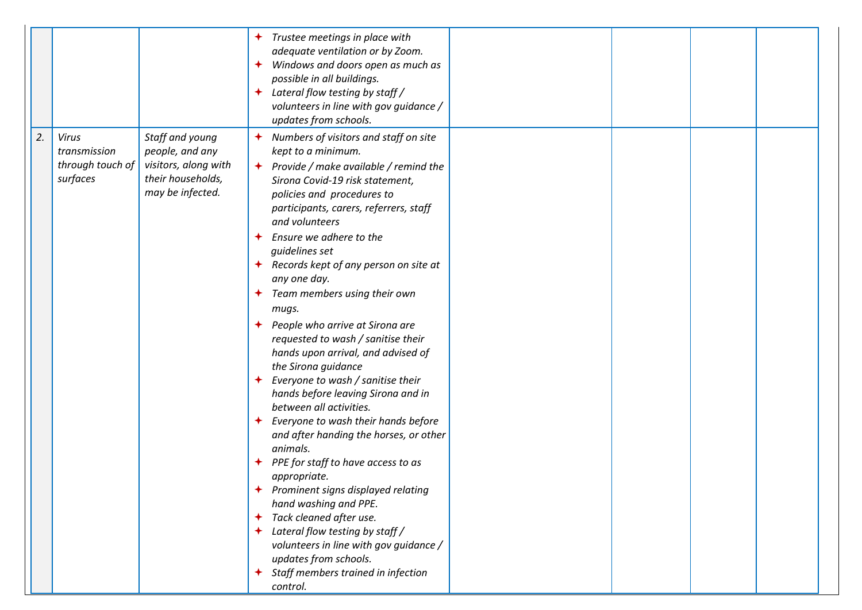|    |                                                              |                                                                                                     | Trustee meetings in place with<br>$\bigstar$<br>adequate ventilation or by Zoom.<br>Windows and doors open as much as<br>✦<br>possible in all buildings.<br>Lateral flow testing by staff /<br>$\bigstar$<br>volunteers in line with gov guidance /<br>updates from schools.                                                                                                                                                                                                                                                                                                                                                                                                                                                                                                                                                                                                                                                                                                                                                                                                                                  |  |  |
|----|--------------------------------------------------------------|-----------------------------------------------------------------------------------------------------|---------------------------------------------------------------------------------------------------------------------------------------------------------------------------------------------------------------------------------------------------------------------------------------------------------------------------------------------------------------------------------------------------------------------------------------------------------------------------------------------------------------------------------------------------------------------------------------------------------------------------------------------------------------------------------------------------------------------------------------------------------------------------------------------------------------------------------------------------------------------------------------------------------------------------------------------------------------------------------------------------------------------------------------------------------------------------------------------------------------|--|--|
| 2. | <b>Virus</b><br>transmission<br>through touch of<br>surfaces | Staff and young<br>people, and any<br>visitors, along with<br>their households,<br>may be infected. | Numbers of visitors and staff on site<br>$\bigstar$<br>kept to a minimum.<br>$\rightarrow$ Provide / make available / remind the<br>Sirona Covid-19 risk statement,<br>policies and procedures to<br>participants, carers, referrers, staff<br>and volunteers<br>Ensure we adhere to the<br>✦<br>quidelines set<br>Records kept of any person on site at<br>any one day.<br>Team members using their own<br>$\bigstar$<br>mugs.<br>People who arrive at Sirona are<br>requested to wash / sanitise their<br>hands upon arrival, and advised of<br>the Sirona guidance<br>Everyone to wash / sanitise their<br>hands before leaving Sirona and in<br>between all activities.<br>Everyone to wash their hands before<br>$\bigstar$<br>and after handing the horses, or other<br>animals.<br>PPE for staff to have access to as<br>appropriate.<br>Prominent signs displayed relating<br>✦<br>hand washing and PPE.<br>Tack cleaned after use.<br>✦<br>Lateral flow testing by staff /<br>volunteers in line with gov guidance /<br>updates from schools.<br>Staff members trained in infection<br>✦<br>control. |  |  |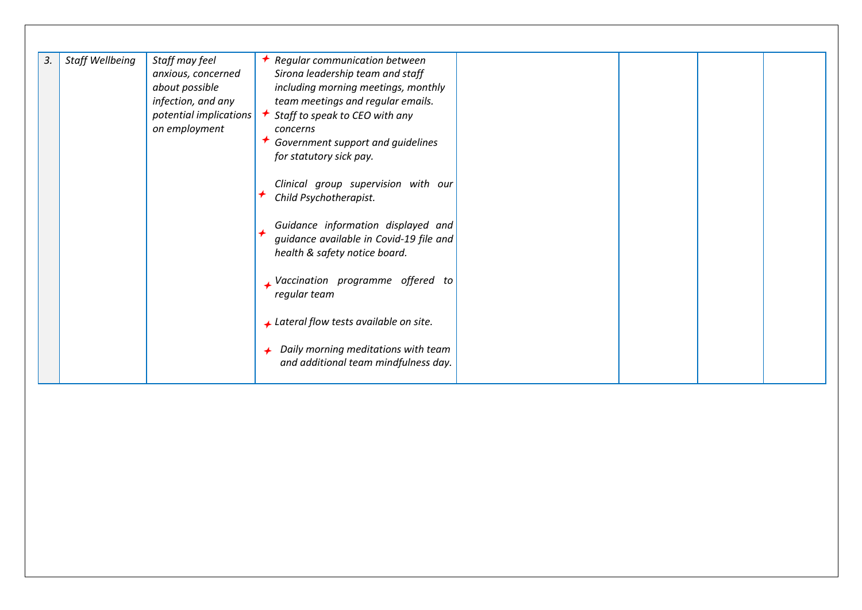| Staff Wellbeing<br>Staff may feel<br>Regular communication between<br>3.<br>≁<br>Sirona leadership team and staff<br>anxious, concerned<br>about possible<br>including morning meetings, monthly<br>infection, and any<br>team meetings and regular emails.<br>Staff to speak to CEO with any<br>potential implications<br>on employment<br>concerns<br>Government support and guidelines<br>for statutory sick pay.<br>Clinical group supervision with our<br>Child Psychotherapist.<br>Guidance information displayed and<br>guidance available in Covid-19 file and<br>health & safety notice board.<br>Vaccination programme offered to<br>regular team<br>↓ Lateral flow tests available on site.<br>Daily morning meditations with team<br>and additional team mindfulness day. |  |
|---------------------------------------------------------------------------------------------------------------------------------------------------------------------------------------------------------------------------------------------------------------------------------------------------------------------------------------------------------------------------------------------------------------------------------------------------------------------------------------------------------------------------------------------------------------------------------------------------------------------------------------------------------------------------------------------------------------------------------------------------------------------------------------|--|